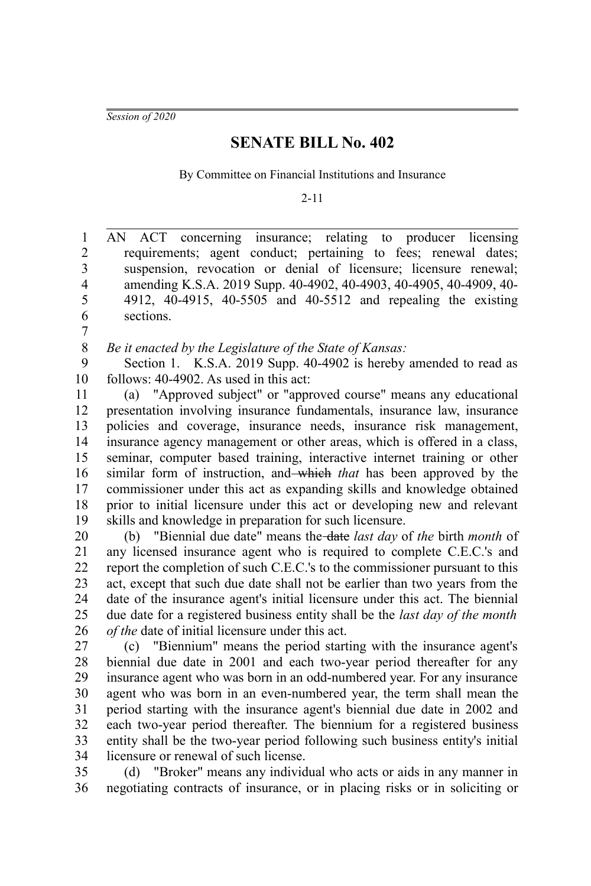*Session of 2020*

7

## **SENATE BILL No. 402**

By Committee on Financial Institutions and Insurance

2-11

AN ACT concerning insurance; relating to producer licensing requirements; agent conduct; pertaining to fees; renewal dates; suspension, revocation or denial of licensure; licensure renewal; amending K.S.A. 2019 Supp. 40-4902, 40-4903, 40-4905, 40-4909, 40- 4912, 40-4915, 40-5505 and 40-5512 and repealing the existing sections. 1 2 3 4 5 6

*Be it enacted by the Legislature of the State of Kansas:* 8

Section 1. K.S.A. 2019 Supp. 40-4902 is hereby amended to read as follows: 40-4902. As used in this act: 9 10

(a) "Approved subject" or "approved course" means any educational presentation involving insurance fundamentals, insurance law, insurance policies and coverage, insurance needs, insurance risk management, insurance agency management or other areas, which is offered in a class, seminar, computer based training, interactive internet training or other similar form of instruction, and which *that* has been approved by the commissioner under this act as expanding skills and knowledge obtained prior to initial licensure under this act or developing new and relevant skills and knowledge in preparation for such licensure. 11 12 13 14 15 16 17 18 19

(b) "Biennial due date" means the date *last day* of *the* birth *month* of any licensed insurance agent who is required to complete C.E.C.'s and report the completion of such C.E.C.'s to the commissioner pursuant to this act, except that such due date shall not be earlier than two years from the date of the insurance agent's initial licensure under this act. The biennial due date for a registered business entity shall be the *last day of the month of the* date of initial licensure under this act. 20 21 22 23 24 25 26

(c) "Biennium" means the period starting with the insurance agent's biennial due date in 2001 and each two-year period thereafter for any insurance agent who was born in an odd-numbered year. For any insurance agent who was born in an even-numbered year, the term shall mean the period starting with the insurance agent's biennial due date in 2002 and each two-year period thereafter. The biennium for a registered business entity shall be the two-year period following such business entity's initial licensure or renewal of such license. 27 28 29 30 31 32 33 34

(d) "Broker" means any individual who acts or aids in any manner in negotiating contracts of insurance, or in placing risks or in soliciting or 35 36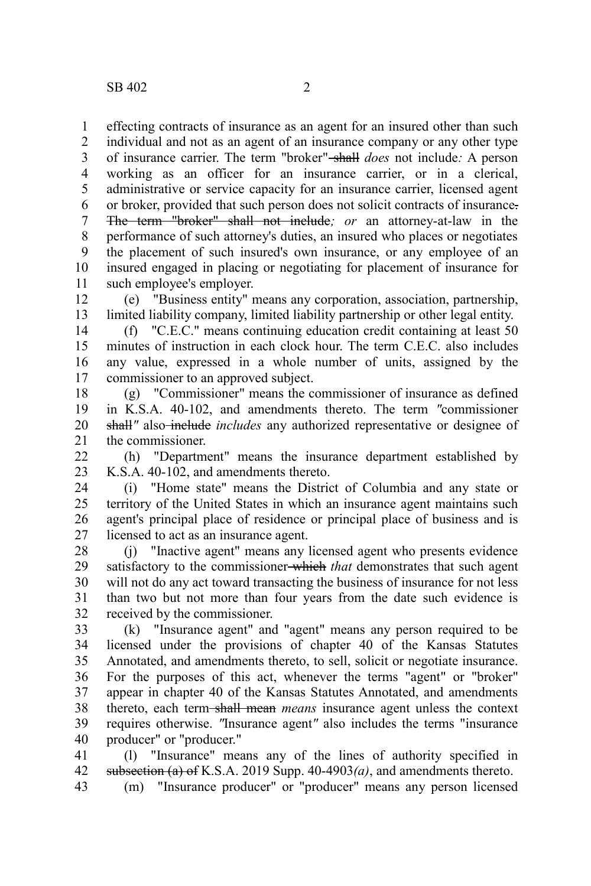effecting contracts of insurance as an agent for an insured other than such individual and not as an agent of an insurance company or any other type of insurance carrier. The term "broker" shall *does* not include*:* A person working as an officer for an insurance carrier, or in a clerical, administrative or service capacity for an insurance carrier, licensed agent or broker, provided that such person does not solicit contracts of insurance. The term "broker" shall not include*; or* an attorney-at-law in the performance of such attorney's duties, an insured who places or negotiates the placement of such insured's own insurance, or any employee of an insured engaged in placing or negotiating for placement of insurance for such employee's employer. 1 2 3 4 5 6 7 8 9 10 11

(e) "Business entity" means any corporation, association, partnership, limited liability company, limited liability partnership or other legal entity. 12 13

(f) "C.E.C." means continuing education credit containing at least 50 minutes of instruction in each clock hour. The term C.E.C. also includes any value, expressed in a whole number of units, assigned by the commissioner to an approved subject. 14 15 16 17

(g) "Commissioner" means the commissioner of insurance as defined in K.S.A. 40-102, and amendments thereto. The term *"*commissioner shall<sup>"</sup> also include *includes* any authorized representative or designee of the commissioner. 18 19 20 21

(h) "Department" means the insurance department established by K.S.A. 40-102, and amendments thereto.  $22$ 23

(i) "Home state" means the District of Columbia and any state or territory of the United States in which an insurance agent maintains such agent's principal place of residence or principal place of business and is licensed to act as an insurance agent. 24 25 26 27

(j) "Inactive agent" means any licensed agent who presents evidence satisfactory to the commissioner which *that* demonstrates that such agent will not do any act toward transacting the business of insurance for not less than two but not more than four years from the date such evidence is received by the commissioner. 28 29 30 31 32

(k) "Insurance agent" and "agent" means any person required to be licensed under the provisions of chapter 40 of the Kansas Statutes Annotated, and amendments thereto, to sell, solicit or negotiate insurance. For the purposes of this act, whenever the terms "agent" or "broker" appear in chapter 40 of the Kansas Statutes Annotated, and amendments thereto, each term shall mean *means* insurance agent unless the context requires otherwise. *"*Insurance agent*"* also includes the terms "insurance producer" or "producer." 33 34 35 36 37 38 39 40

(l) "Insurance" means any of the lines of authority specified in subsection (a) of K.S.A. 2019 Supp. 40-4903*(a)*, and amendments thereto. (m) "Insurance producer" or "producer" means any person licensed 41 42 43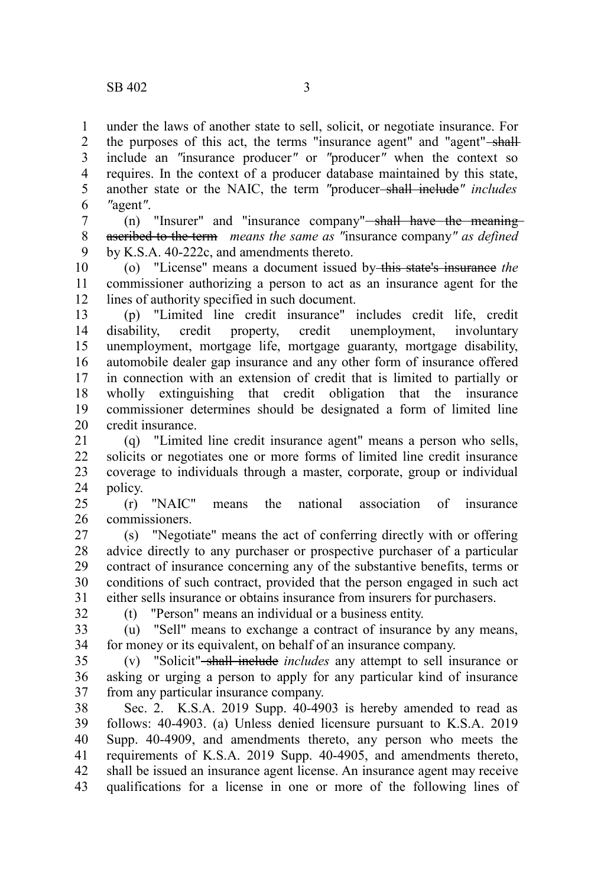under the laws of another state to sell, solicit, or negotiate insurance. For the purposes of this act, the terms "insurance agent" and "agent"-shallinclude an *"*insurance producer*"* or *"*producer*"* when the context so requires. In the context of a producer database maintained by this state, another state or the NAIC, the term "producer<del>-shall include</del>" includes *"*agent*"*. 1 2 3 4 5 6

(n) "Insurer" and "insurance company"—shall have the meaningascribed to the term *means the same as "*insurance company*" as defined* by K.S.A. 40-222c, and amendments thereto. 7 8 9

(o) "License" means a document issued by this state's insurance *the* commissioner authorizing a person to act as an insurance agent for the lines of authority specified in such document. 10 11 12

(p) "Limited line credit insurance" includes credit life, credit disability, credit property, credit unemployment, involuntary unemployment, mortgage life, mortgage guaranty, mortgage disability, automobile dealer gap insurance and any other form of insurance offered in connection with an extension of credit that is limited to partially or wholly extinguishing that credit obligation that the insurance commissioner determines should be designated a form of limited line credit insurance. 13 14 15 16 17 18 19 20

(q) "Limited line credit insurance agent" means a person who sells, solicits or negotiates one or more forms of limited line credit insurance coverage to individuals through a master, corporate, group or individual policy. 21 22 23 24

(r) "NAIC" means the national association of insurance commissioners. 25 26

(s) "Negotiate" means the act of conferring directly with or offering advice directly to any purchaser or prospective purchaser of a particular contract of insurance concerning any of the substantive benefits, terms or conditions of such contract, provided that the person engaged in such act either sells insurance or obtains insurance from insurers for purchasers. 27 28 29 30 31

32

(t) "Person" means an individual or a business entity.

(u) "Sell" means to exchange a contract of insurance by any means, for money or its equivalent, on behalf of an insurance company. 33 34

(v) "Solicit" shall include *includes* any attempt to sell insurance or asking or urging a person to apply for any particular kind of insurance from any particular insurance company. 35 36 37

Sec. 2. K.S.A. 2019 Supp. 40-4903 is hereby amended to read as follows: 40-4903. (a) Unless denied licensure pursuant to K.S.A. 2019 Supp. 40-4909, and amendments thereto, any person who meets the requirements of K.S.A. 2019 Supp. 40-4905, and amendments thereto, shall be issued an insurance agent license. An insurance agent may receive qualifications for a license in one or more of the following lines of 38 39 40 41 42 43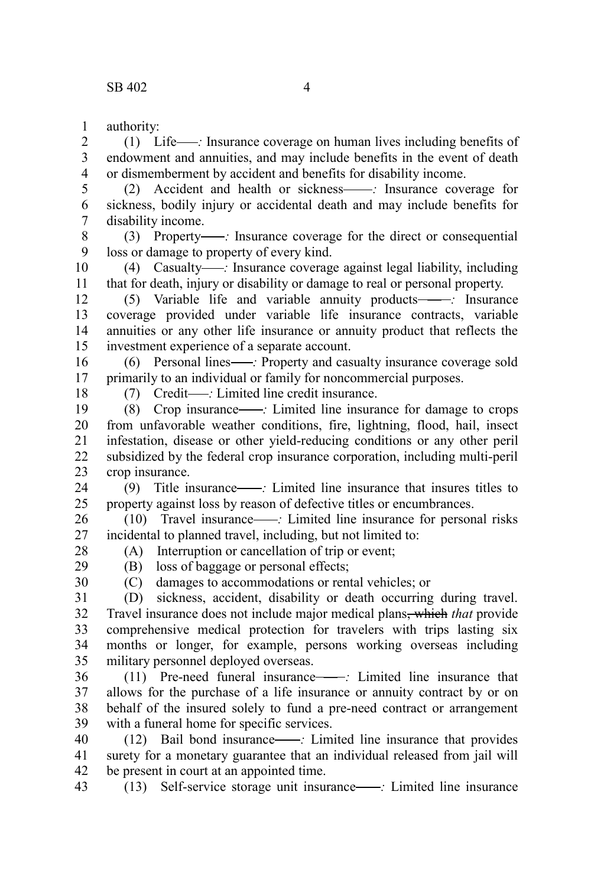authority: 1

(1) Life — *:* Insurance coverage on human lives including benefits of endowment and annuities, and may include benefits in the event of death or dismemberment by accident and benefits for disability income. 2 3 4

(2) Accident and health or sickness — *:* Insurance coverage for sickness, bodily injury or accidental death and may include benefits for disability income. 5 6 7

(3) Property — *:* Insurance coverage for the direct or consequential loss or damage to property of every kind. 8 9

(4) Casualty — *:* Insurance coverage against legal liability, including that for death, injury or disability or damage to real or personal property. 10 11

(5) Variable life and variable annuity products — *:* Insurance coverage provided under variable life insurance contracts, variable annuities or any other life insurance or annuity product that reflects the investment experience of a separate account. 12 13 14 15

(6) Personal lines — *:* Property and casualty insurance coverage sold primarily to an individual or family for noncommercial purposes. 16 17

18

(7) Credit — *:* Limited line credit insurance.

(8) Crop insurance — *:* Limited line insurance for damage to crops from unfavorable weather conditions, fire, lightning, flood, hail, insect infestation, disease or other yield-reducing conditions or any other peril subsidized by the federal crop insurance corporation, including multi-peril crop insurance. 19 20 21 22 23

(9) Title insurance — *:* Limited line insurance that insures titles to property against loss by reason of defective titles or encumbrances. 24 25

(10) Travel insurance — *:* Limited line insurance for personal risks incidental to planned travel, including, but not limited to: (A) Interruption or cancellation of trip or event; 26 27

28 29

(B) loss of baggage or personal effects;

30

(C) damages to accommodations or rental vehicles; or

(D) sickness, accident, disability or death occurring during travel. Travel insurance does not include major medical plans, which *that* provide comprehensive medical protection for travelers with trips lasting six months or longer, for example, persons working overseas including military personnel deployed overseas. 31 32 33 34 35

(11) Pre-need funeral insurance — *:* Limited line insurance that allows for the purchase of a life insurance or annuity contract by or on behalf of the insured solely to fund a pre-need contract or arrangement with a funeral home for specific services. 36 37 38 39

(12) Bail bond insurance — *:* Limited line insurance that provides surety for a monetary guarantee that an individual released from jail will be present in court at an appointed time. 40 41 42

(13) Self-service storage unit insurance — *:* Limited line insurance 43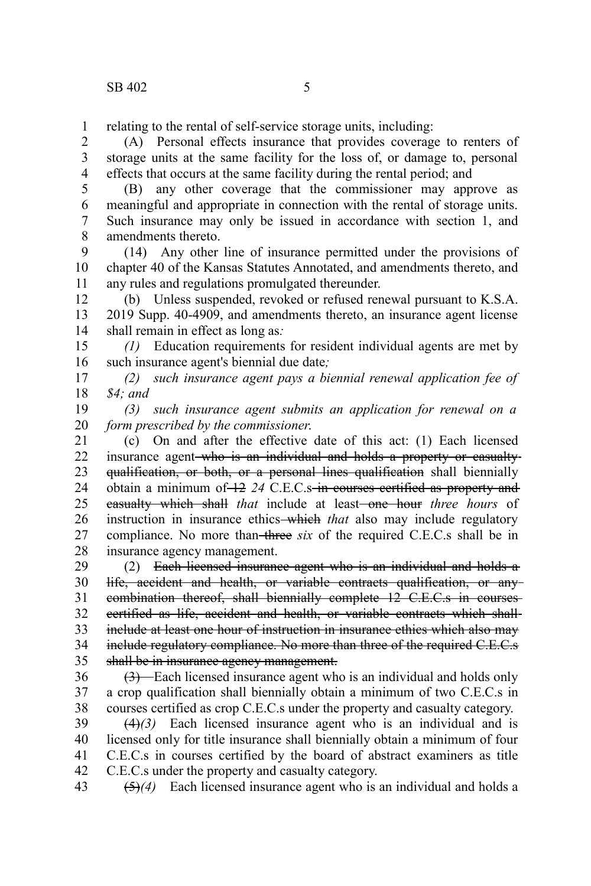relating to the rental of self-service storage units, including: 1

(A) Personal effects insurance that provides coverage to renters of storage units at the same facility for the loss of, or damage to, personal effects that occurs at the same facility during the rental period; and 2 3 4

(B) any other coverage that the commissioner may approve as meaningful and appropriate in connection with the rental of storage units. Such insurance may only be issued in accordance with section 1, and amendments thereto. 5 6 7 8

(14) Any other line of insurance permitted under the provisions of chapter 40 of the Kansas Statutes Annotated, and amendments thereto, and any rules and regulations promulgated thereunder. 9 10 11

(b) Unless suspended, revoked or refused renewal pursuant to K.S.A. 2019 Supp. 40-4909, and amendments thereto, an insurance agent license shall remain in effect as long as*:* 12 13 14

*(1)* Education requirements for resident individual agents are met by such insurance agent's biennial due date*;* 15 16

*(2) such insurance agent pays a biennial renewal application fee of \$4; and* 17 18

*(3) such insurance agent submits an application for renewal on a form prescribed by the commissioner*. 19 20

(c) On and after the effective date of this act: (1) Each licensed insurance agent who is an individual and holds a property or casualtyqualification, or both, or a personal lines qualification shall biennially obtain a minimum of 12 *24* C.E.C.s in courses certified as property and easualty which shall *that* include at least-one hour *three hours* of instruction in insurance ethics—which *that* also may include regulatory compliance. No more than-three *six* of the required C.E.C.s shall be in insurance agency management. 21 22 23 24 25 26 27 28

(2) Each licensed insurance agent who is an individual and holds a life, accident and health, or variable contracts qualification, or any combination thereof, shall biennially complete 12 C.E.C.s in courses certified as life, accident and health, or variable contracts which shall include at least one hour of instruction in insurance ethics which also may include regulatory compliance. No more than three of the required C.E.C.s shall be in insurance agency management. 29 30 31 32 33 34 35

(3) Each licensed insurance agent who is an individual and holds only a crop qualification shall biennially obtain a minimum of two C.E.C.s in courses certified as crop C.E.C.s under the property and casualty category. 36 37 38

(4)*(3)* Each licensed insurance agent who is an individual and is licensed only for title insurance shall biennially obtain a minimum of four C.E.C.s in courses certified by the board of abstract examiners as title C.E.C.s under the property and casualty category. 39 40 41 42

(5)*(4)* Each licensed insurance agent who is an individual and holds a 43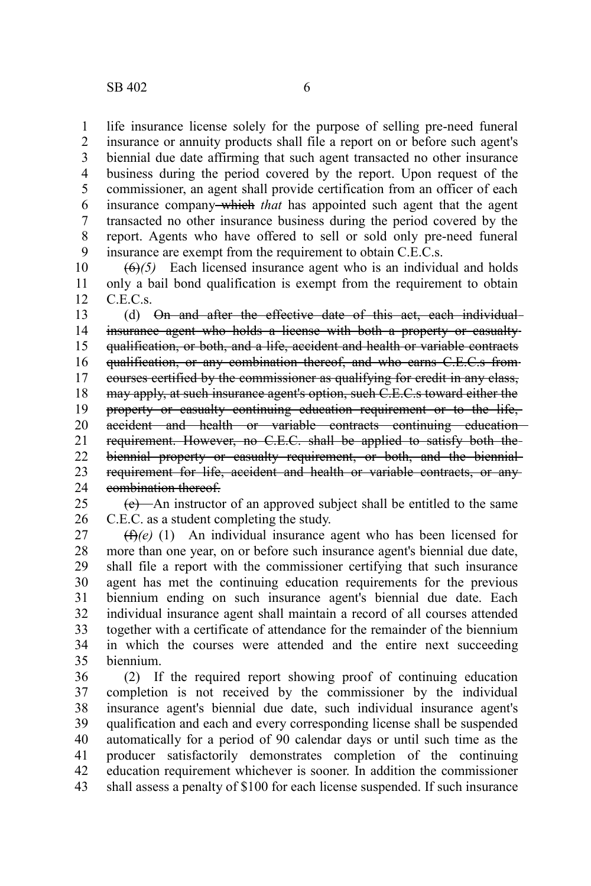life insurance license solely for the purpose of selling pre-need funeral insurance or annuity products shall file a report on or before such agent's biennial due date affirming that such agent transacted no other insurance business during the period covered by the report. Upon request of the commissioner, an agent shall provide certification from an officer of each insurance company which *that* has appointed such agent that the agent transacted no other insurance business during the period covered by the report. Agents who have offered to sell or sold only pre-need funeral insurance are exempt from the requirement to obtain C.E.C.s. 1 2 3 4 5 6 7 8 9

(6)*(5)* Each licensed insurance agent who is an individual and holds only a bail bond qualification is exempt from the requirement to obtain C.E.C.s. 10 11 12

(d) On and after the effective date of this act, each individualinsurance agent who holds a license with both a property or casualty qualification, or both, and a life, accident and health or variable contracts qualification, or any combination thereof, and who earns C.E.C.s from courses certified by the commissioner as qualifying for credit in any class, may apply, at such insurance agent's option, such C.E.C.s toward either the property or casualty continuing education requirement or to the life, accident and health or variable contracts continuing education requirement. However, no C.E.C. shall be applied to satisfy both the biennial property or casualty requirement, or both, and the biennial requirement for life, accident and health or variable contracts, or any combination thereof. 13 14 15 16 17 18 19 20 21 22 23 24

(e) An instructor of an approved subject shall be entitled to the same C.E.C. as a student completing the study. 25 26

(f)*(e)* (1) An individual insurance agent who has been licensed for more than one year, on or before such insurance agent's biennial due date, shall file a report with the commissioner certifying that such insurance agent has met the continuing education requirements for the previous biennium ending on such insurance agent's biennial due date. Each individual insurance agent shall maintain a record of all courses attended together with a certificate of attendance for the remainder of the biennium in which the courses were attended and the entire next succeeding biennium. 27 28 29 30 31 32 33 34 35

(2) If the required report showing proof of continuing education completion is not received by the commissioner by the individual insurance agent's biennial due date, such individual insurance agent's qualification and each and every corresponding license shall be suspended automatically for a period of 90 calendar days or until such time as the producer satisfactorily demonstrates completion of the continuing education requirement whichever is sooner. In addition the commissioner shall assess a penalty of \$100 for each license suspended. If such insurance 36 37 38 39 40 41 42 43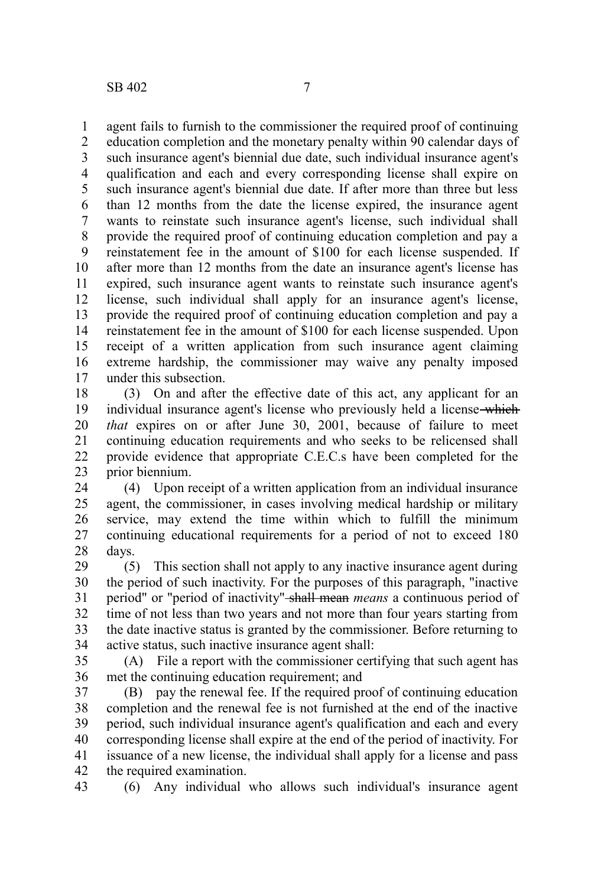agent fails to furnish to the commissioner the required proof of continuing education completion and the monetary penalty within 90 calendar days of such insurance agent's biennial due date, such individual insurance agent's qualification and each and every corresponding license shall expire on such insurance agent's biennial due date. If after more than three but less than 12 months from the date the license expired, the insurance agent wants to reinstate such insurance agent's license, such individual shall provide the required proof of continuing education completion and pay a reinstatement fee in the amount of \$100 for each license suspended. If after more than 12 months from the date an insurance agent's license has expired, such insurance agent wants to reinstate such insurance agent's license, such individual shall apply for an insurance agent's license, provide the required proof of continuing education completion and pay a reinstatement fee in the amount of \$100 for each license suspended. Upon receipt of a written application from such insurance agent claiming extreme hardship, the commissioner may waive any penalty imposed under this subsection. 1 2 3 4 5 6 7 8 9 10 11 12 13 14 15 16 17

(3) On and after the effective date of this act, any applicant for an individual insurance agent's license who previously held a license—which *that* expires on or after June 30, 2001, because of failure to meet continuing education requirements and who seeks to be relicensed shall provide evidence that appropriate C.E.C.s have been completed for the prior biennium. 18 19 20 21 22 23

(4) Upon receipt of a written application from an individual insurance agent, the commissioner, in cases involving medical hardship or military service, may extend the time within which to fulfill the minimum continuing educational requirements for a period of not to exceed 180 days. 24 25 26 27 28

(5) This section shall not apply to any inactive insurance agent during the period of such inactivity. For the purposes of this paragraph, "inactive period" or "period of inactivity" shall mean *means* a continuous period of time of not less than two years and not more than four years starting from the date inactive status is granted by the commissioner. Before returning to active status, such inactive insurance agent shall: 29 30 31 32 33 34

(A) File a report with the commissioner certifying that such agent has met the continuing education requirement; and 35 36

(B) pay the renewal fee. If the required proof of continuing education completion and the renewal fee is not furnished at the end of the inactive period, such individual insurance agent's qualification and each and every corresponding license shall expire at the end of the period of inactivity. For issuance of a new license, the individual shall apply for a license and pass the required examination. 37 38 39 40 41 42

(6) Any individual who allows such individual's insurance agent 43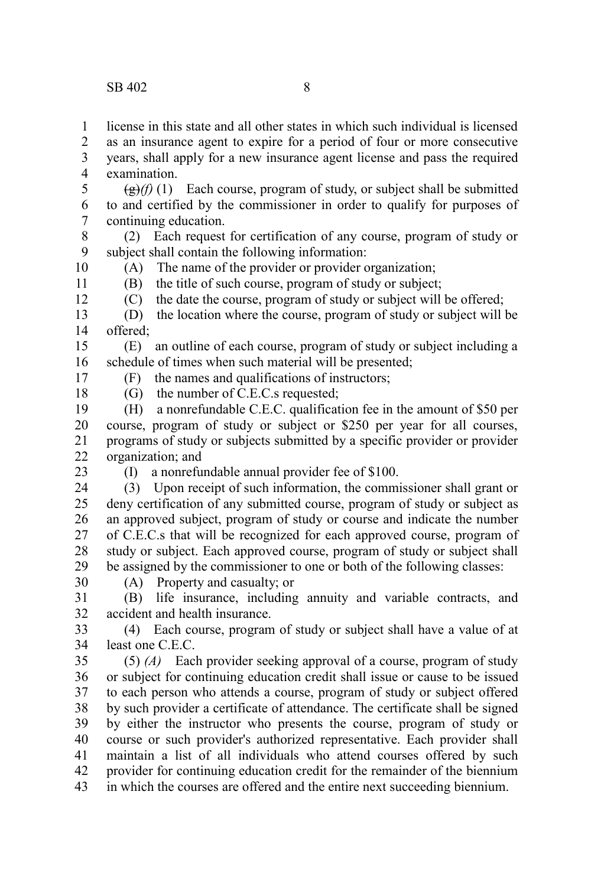license in this state and all other states in which such individual is licensed 1

as an insurance agent to expire for a period of four or more consecutive 2

years, shall apply for a new insurance agent license and pass the required examination. 3 4

 $\left(\frac{g}{g}\right)(f)(1)$  Each course, program of study, or subject shall be submitted to and certified by the commissioner in order to qualify for purposes of continuing education. 5 6 7

(2) Each request for certification of any course, program of study or subject shall contain the following information: 8 9 10

(A) The name of the provider or provider organization;

(B) the title of such course, program of study or subject;

(C) the date the course, program of study or subject will be offered;

(D) the location where the course, program of study or subject will be offered; 13 14

(E) an outline of each course, program of study or subject including a schedule of times when such material will be presented; 15 16

(F) the names and qualifications of instructors;

(G) the number of C.E.C.s requested;

(H) a nonrefundable C.E.C. qualification fee in the amount of \$50 per course, program of study or subject or \$250 per year for all courses, programs of study or subjects submitted by a specific provider or provider organization; and 19 20 21 22

23

11 12

17 18

- (I) a nonrefundable annual provider fee of \$100.
- (3) Upon receipt of such information, the commissioner shall grant or deny certification of any submitted course, program of study or subject as an approved subject, program of study or course and indicate the number of C.E.C.s that will be recognized for each approved course, program of study or subject. Each approved course, program of study or subject shall be assigned by the commissioner to one or both of the following classes: 24 25 26 27 28 29
- 30
- (A) Property and casualty; or

(B) life insurance, including annuity and variable contracts, and accident and health insurance. 31 32

(4) Each course, program of study or subject shall have a value of at least one C.E.C. 33 34

(5) *(A)* Each provider seeking approval of a course, program of study or subject for continuing education credit shall issue or cause to be issued to each person who attends a course, program of study or subject offered by such provider a certificate of attendance. The certificate shall be signed by either the instructor who presents the course, program of study or course or such provider's authorized representative. Each provider shall maintain a list of all individuals who attend courses offered by such provider for continuing education credit for the remainder of the biennium in which the courses are offered and the entire next succeeding biennium. 35 36 37 38 39 40 41 42 43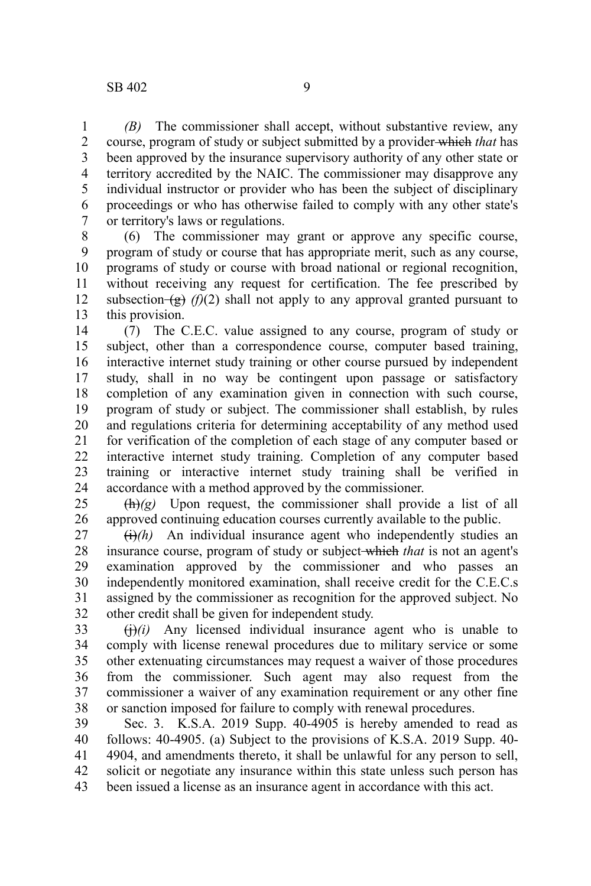*(B)* The commissioner shall accept, without substantive review, any course, program of study or subject submitted by a provider which *that* has been approved by the insurance supervisory authority of any other state or territory accredited by the NAIC. The commissioner may disapprove any individual instructor or provider who has been the subject of disciplinary proceedings or who has otherwise failed to comply with any other state's or territory's laws or regulations. 1 2 3 4 5 6 7

(6) The commissioner may grant or approve any specific course, program of study or course that has appropriate merit, such as any course, programs of study or course with broad national or regional recognition, without receiving any request for certification. The fee prescribed by subsection $\left(\frac{g}{g}\right)$  (f)(2) shall not apply to any approval granted pursuant to this provision. 8 9 10 11 12 13

(7) The C.E.C. value assigned to any course, program of study or subject, other than a correspondence course, computer based training, interactive internet study training or other course pursued by independent study, shall in no way be contingent upon passage or satisfactory completion of any examination given in connection with such course, program of study or subject. The commissioner shall establish, by rules and regulations criteria for determining acceptability of any method used for verification of the completion of each stage of any computer based or interactive internet study training. Completion of any computer based training or interactive internet study training shall be verified in accordance with a method approved by the commissioner. 14 15 16 17 18 19 20 21 22 23 24

 $\left(\frac{h}{g}\right)$  Upon request, the commissioner shall provide a list of all approved continuing education courses currently available to the public. 25 26

 $\left(\frac{1}{h}\right)$  An individual insurance agent who independently studies an insurance course, program of study or subject which *that* is not an agent's examination approved by the commissioner and who passes an independently monitored examination, shall receive credit for the C.E.C.s assigned by the commissioner as recognition for the approved subject. No other credit shall be given for independent study. 27 28 29 30 31 32

 $\Theta(i)$  Any licensed individual insurance agent who is unable to comply with license renewal procedures due to military service or some other extenuating circumstances may request a waiver of those procedures from the commissioner. Such agent may also request from the commissioner a waiver of any examination requirement or any other fine or sanction imposed for failure to comply with renewal procedures. 33 34 35 36 37 38

Sec. 3. K.S.A. 2019 Supp. 40-4905 is hereby amended to read as follows: 40-4905. (a) Subject to the provisions of K.S.A. 2019 Supp. 40- 4904, and amendments thereto, it shall be unlawful for any person to sell, solicit or negotiate any insurance within this state unless such person has been issued a license as an insurance agent in accordance with this act. 39 40 41 42 43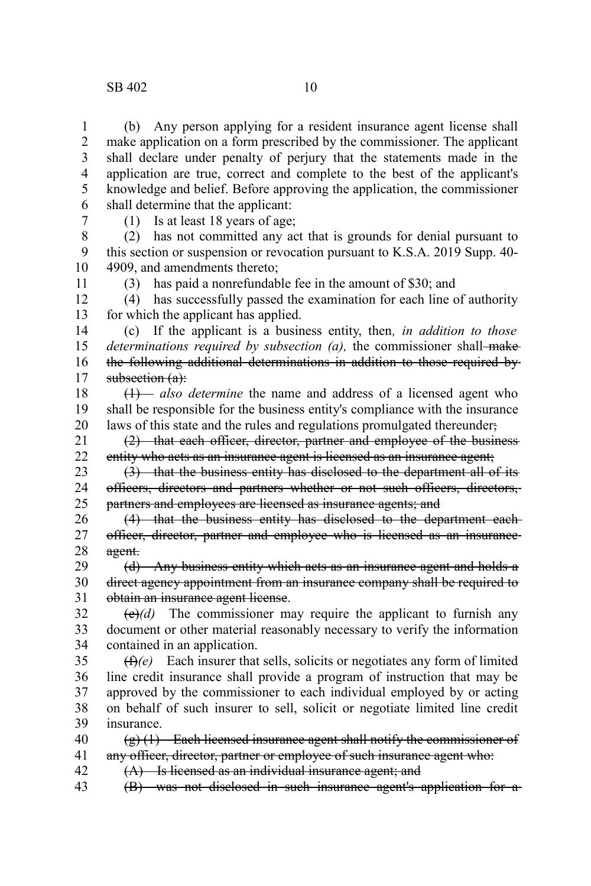## SB 402 10

(b) Any person applying for a resident insurance agent license shall make application on a form prescribed by the commissioner. The applicant shall declare under penalty of perjury that the statements made in the application are true, correct and complete to the best of the applicant's knowledge and belief. Before approving the application, the commissioner shall determine that the applicant: 1 2 3 4 5 6

7

11

(1) Is at least 18 years of age;

(2) has not committed any act that is grounds for denial pursuant to this section or suspension or revocation pursuant to K.S.A. 2019 Supp. 40- 4909, and amendments thereto; 8 9 10

(3) has paid a nonrefundable fee in the amount of \$30; and

(4) has successfully passed the examination for each line of authority for which the applicant has applied. 12 13

(c) If the applicant is a business entity, then*, in addition to those determinations required by subsection (a), the commissioner shall-make* the following additional determinations in addition to those required by subsection (a): 14 15 16 17

(1) *also determine* the name and address of a licensed agent who shall be responsible for the business entity's compliance with the insurance laws of this state and the rules and regulations promulgated thereunder; 18 19 20

(2) that each officer, director, partner and employee of the business entity who acts as an insurance agent is licensed as an insurance agent; 21 22

(3) that the business entity has disclosed to the department all of its officers, directors and partners whether or not such officers, directors, partners and employees are licensed as insurance agents; and 23 24 25

(4) that the business entity has disclosed to the department each officer, director, partner and employee who is licensed as an insurance agent. 26 27 28

(d) Any business entity which acts as an insurance agent and holds a direct agency appointment from an insurance company shall be required to obtain an insurance agent license. 29 30 31

 $\left(\frac{e}{e}\right)$  The commissioner may require the applicant to furnish any document or other material reasonably necessary to verify the information contained in an application. 32 33 34

(f)*(e)* Each insurer that sells, solicits or negotiates any form of limited line credit insurance shall provide a program of instruction that may be approved by the commissioner to each individual employed by or acting on behalf of such insurer to sell, solicit or negotiate limited line credit insurance. 35 36 37 38 39

 $(g)$  (1) Each licensed insurance agent shall notify the commissioner of any officer, director, partner or employee of such insurance agent who: (A) Is licensed as an individual insurance agent; and 40 41 42

(B) was not disclosed in such insurance agent's application for a 43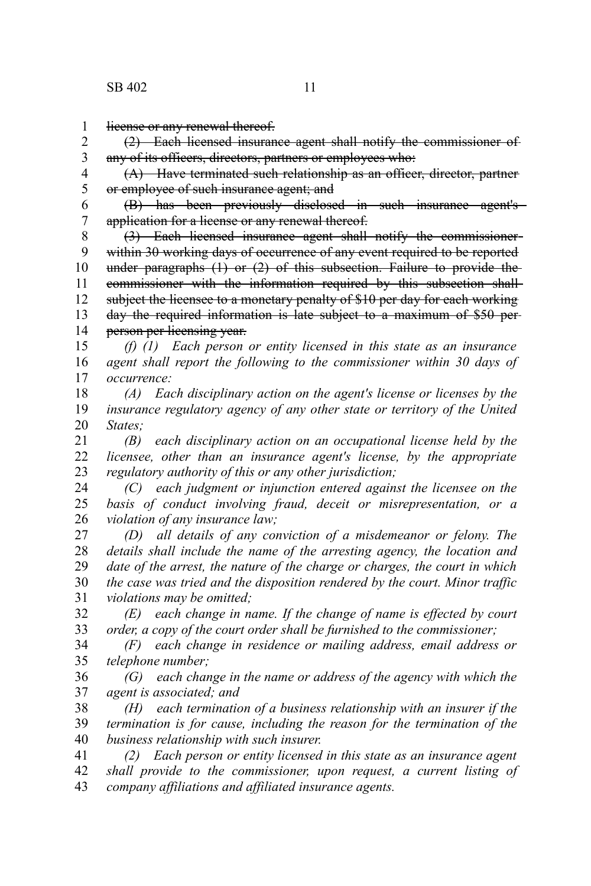license or any renewal thereof. 1

(2) Each licensed insurance agent shall notify the commissioner of any of its officers, directors, partners or employees who: 2 3

(A) Have terminated such relationship as an officer, director, partner or employee of such insurance agent; and 4 5

(B) has been previously disclosed in such insurance agent's application for a license or any renewal thereof. 6 7

(3) Each licensed insurance agent shall notify the commissioner within 30 working days of occurrence of any event required to be reported under paragraphs (1) or (2) of this subsection. Failure to provide the commissioner with the information required by this subsection shall subject the licensee to a monetary penalty of \$10 per day for each working day the required information is late subject to a maximum of \$50 per person per licensing year. 8 9 10 11 12 13 14

*(f) (1) Each person or entity licensed in this state as an insurance agent shall report the following to the commissioner within 30 days of occurrence:* 15 16 17

*(A) Each disciplinary action on the agent's license or licenses by the insurance regulatory agency of any other state or territory of the United States;* 18 19 20

*(B) each disciplinary action on an occupational license held by the licensee, other than an insurance agent's license, by the appropriate regulatory authority of this or any other jurisdiction;* 21 22 23

*(C) each judgment or injunction entered against the licensee on the basis of conduct involving fraud, deceit or misrepresentation, or a violation of any insurance law;* 24 25 26

*(D) all details of any conviction of a misdemeanor or felony. The details shall include the name of the arresting agency, the location and date of the arrest, the nature of the charge or charges, the court in which the case was tried and the disposition rendered by the court. Minor traffic violations may be omitted;* 27 28 29 30 31

*(E) each change in name. If the change of name is effected by court order, a copy of the court order shall be furnished to the commissioner;* 32 33

*(F) each change in residence or mailing address, email address or telephone number;*  34 35

*(G) each change in the name or address of the agency with which the agent is associated; and* 36 37

*(H) each termination of a business relationship with an insurer if the termination is for cause, including the reason for the termination of the business relationship with such insurer.* 38 39 40

*(2) Each person or entity licensed in this state as an insurance agent shall provide to the commissioner, upon request, a current listing of company affiliations and affiliated insurance agents.* 41 42 43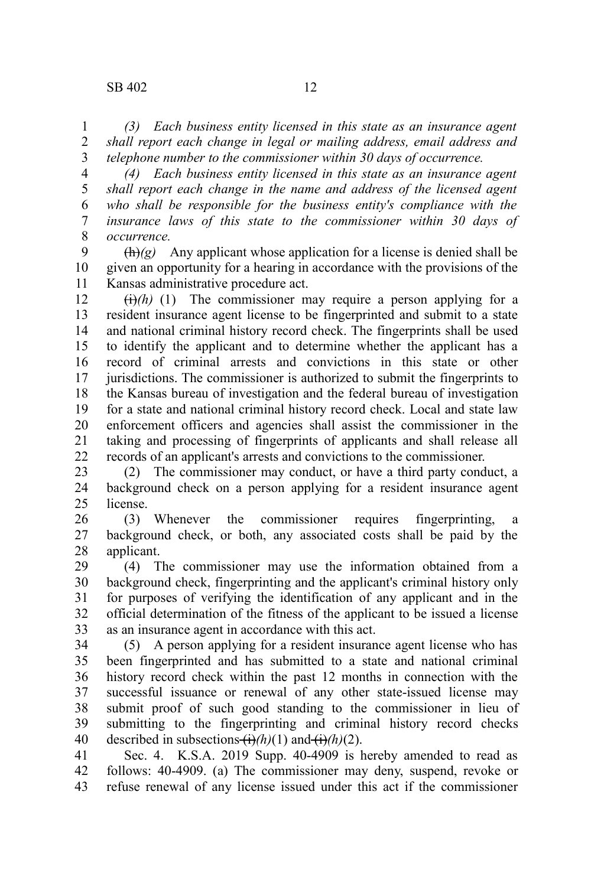*(3) Each business entity licensed in this state as an insurance agent shall report each change in legal or mailing address, email address and telephone number to the commissioner within 30 days of occurrence.* 1 2 3

*(4) Each business entity licensed in this state as an insurance agent shall report each change in the name and address of the licensed agent who shall be responsible for the business entity's compliance with the insurance laws of this state to the commissioner within 30 days of occurrence.* 4 5 6 7 8

 $\frac{h(x)}{g}$  Any applicant whose application for a license is denied shall be given an opportunity for a hearing in accordance with the provisions of the Kansas administrative procedure act. 9 10 11

 $\left(\frac{1}{i}\right)$ *(h)* (1) The commissioner may require a person applying for a resident insurance agent license to be fingerprinted and submit to a state and national criminal history record check. The fingerprints shall be used to identify the applicant and to determine whether the applicant has a record of criminal arrests and convictions in this state or other jurisdictions. The commissioner is authorized to submit the fingerprints to the Kansas bureau of investigation and the federal bureau of investigation for a state and national criminal history record check. Local and state law enforcement officers and agencies shall assist the commissioner in the taking and processing of fingerprints of applicants and shall release all records of an applicant's arrests and convictions to the commissioner. 12 13 14 15 16 17 18 19 20 21 22

(2) The commissioner may conduct, or have a third party conduct, a background check on a person applying for a resident insurance agent license. 23 24 25

(3) Whenever the commissioner requires fingerprinting, a background check, or both, any associated costs shall be paid by the applicant. 26 27 28

(4) The commissioner may use the information obtained from a background check, fingerprinting and the applicant's criminal history only for purposes of verifying the identification of any applicant and in the official determination of the fitness of the applicant to be issued a license as an insurance agent in accordance with this act. 29 30 31 32 33

(5) A person applying for a resident insurance agent license who has been fingerprinted and has submitted to a state and national criminal history record check within the past 12 months in connection with the successful issuance or renewal of any other state-issued license may submit proof of such good standing to the commissioner in lieu of submitting to the fingerprinting and criminal history record checks described in subsections  $\overrightarrow{(h)}(h)(1)$  and  $\overrightarrow{(h)}(h)(2)$ . 34 35 36 37 38 39 40

Sec. 4. K.S.A. 2019 Supp. 40-4909 is hereby amended to read as follows: 40-4909. (a) The commissioner may deny, suspend, revoke or refuse renewal of any license issued under this act if the commissioner 41 42 43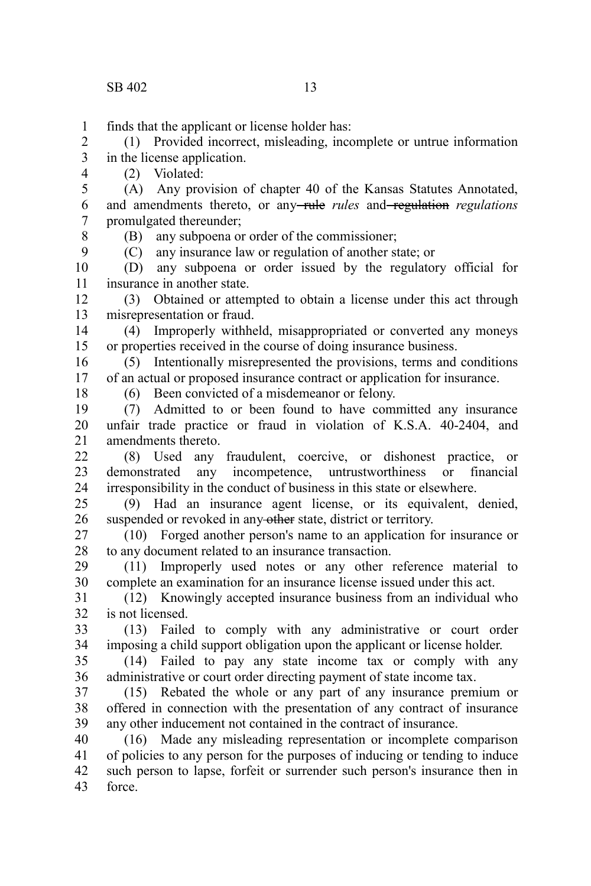finds that the applicant or license holder has: 1

(1) Provided incorrect, misleading, incomplete or untrue information in the license application. 2 3

(2) Violated:

(A) Any provision of chapter 40 of the Kansas Statutes Annotated, and amendments thereto, or any rule *rules* and regulation *regulations* promulgated thereunder; 5 6 7

8  $\mathbf{Q}$ 

4

(B) any subpoena or order of the commissioner;

(C) any insurance law or regulation of another state; or

(D) any subpoena or order issued by the regulatory official for insurance in another state. 10 11

(3) Obtained or attempted to obtain a license under this act through misrepresentation or fraud. 12 13

(4) Improperly withheld, misappropriated or converted any moneys or properties received in the course of doing insurance business. 14 15

(5) Intentionally misrepresented the provisions, terms and conditions of an actual or proposed insurance contract or application for insurance. 16 17

18

(6) Been convicted of a misdemeanor or felony.

(7) Admitted to or been found to have committed any insurance unfair trade practice or fraud in violation of K.S.A. 40-2404, and amendments thereto. 19 20 21

(8) Used any fraudulent, coercive, or dishonest practice, or demonstrated any incompetence, untrustworthiness or financial irresponsibility in the conduct of business in this state or elsewhere.  $22$ 23 24

(9) Had an insurance agent license, or its equivalent, denied, suspended or revoked in any other state, district or territory.  $25$ 26

(10) Forged another person's name to an application for insurance or to any document related to an insurance transaction. 27 28

(11) Improperly used notes or any other reference material to complete an examination for an insurance license issued under this act. 29 30

(12) Knowingly accepted insurance business from an individual who is not licensed. 31 32

(13) Failed to comply with any administrative or court order imposing a child support obligation upon the applicant or license holder. 33 34

(14) Failed to pay any state income tax or comply with any administrative or court order directing payment of state income tax. 35 36

(15) Rebated the whole or any part of any insurance premium or offered in connection with the presentation of any contract of insurance any other inducement not contained in the contract of insurance. 37 38 39

(16) Made any misleading representation or incomplete comparison of policies to any person for the purposes of inducing or tending to induce such person to lapse, forfeit or surrender such person's insurance then in force. 40 41 42 43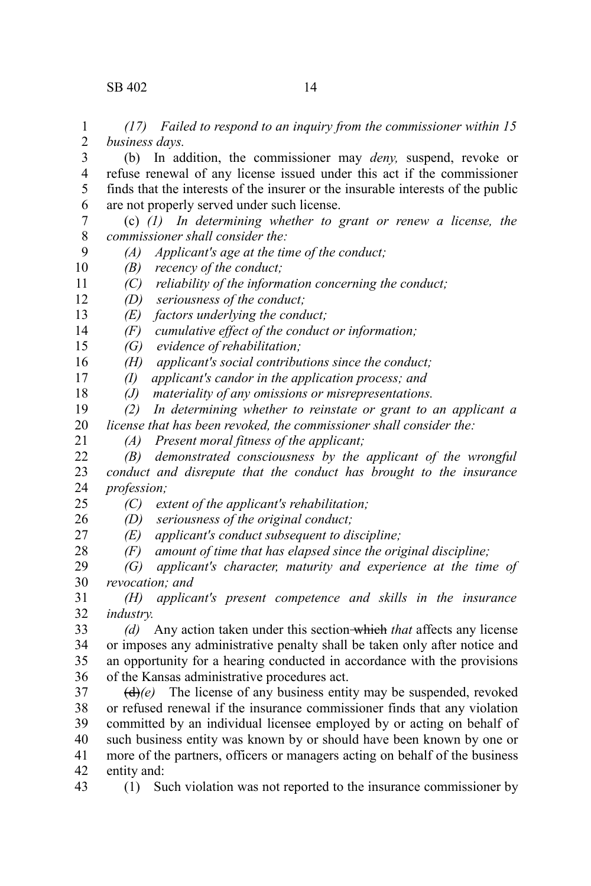*(17) Failed to respond to an inquiry from the commissioner within 15 business days.* 1 2

(b) In addition, the commissioner may *deny,* suspend, revoke or refuse renewal of any license issued under this act if the commissioner finds that the interests of the insurer or the insurable interests of the public are not properly served under such license. 3 4 5 6

(c) *(1) In determining whether to grant or renew a license, the commissioner shall consider the:* 7 8

*(A) Applicant's age at the time of the conduct;* 9

*(B) recency of the conduct;* 10

- *(C) reliability of the information concerning the conduct;* 11
- *(D) seriousness of the conduct;* 12

*(E) factors underlying the conduct;* 13

*(F) cumulative effect of the conduct or information;* 14

*(G) evidence of rehabilitation;*  15

*(H) applicant's social contributions since the conduct;* 16

*(I) applicant's candor in the application process; and* 17

*(J) materiality of any omissions or misrepresentations.* 18

*(2) In determining whether to reinstate or grant to an applicant a license that has been revoked, the commissioner shall consider the:* 19 20

*(A) Present moral fitness of the applicant;* 21

*(B) demonstrated consciousness by the applicant of the wrongful conduct and disrepute that the conduct has brought to the insurance profession;* 22 23 24

*(C) extent of the applicant's rehabilitation;* 25

*(D) seriousness of the original conduct;* 26

*(E) applicant's conduct subsequent to discipline;* 27

*(F) amount of time that has elapsed since the original discipline;* 28

*(G) applicant's character, maturity and experience at the time of revocation; and*  29 30

*(H) applicant's present competence and skills in the insurance industry.* 31 32

*(d)* Any action taken under this section which *that* affects any license or imposes any administrative penalty shall be taken only after notice and an opportunity for a hearing conducted in accordance with the provisions of the Kansas administrative procedures act. 33 34 35 36

 $(d)$ (e) The license of any business entity may be suspended, revoked or refused renewal if the insurance commissioner finds that any violation committed by an individual licensee employed by or acting on behalf of such business entity was known by or should have been known by one or more of the partners, officers or managers acting on behalf of the business entity and: 37 38 39 40 41 42

43

(1) Such violation was not reported to the insurance commissioner by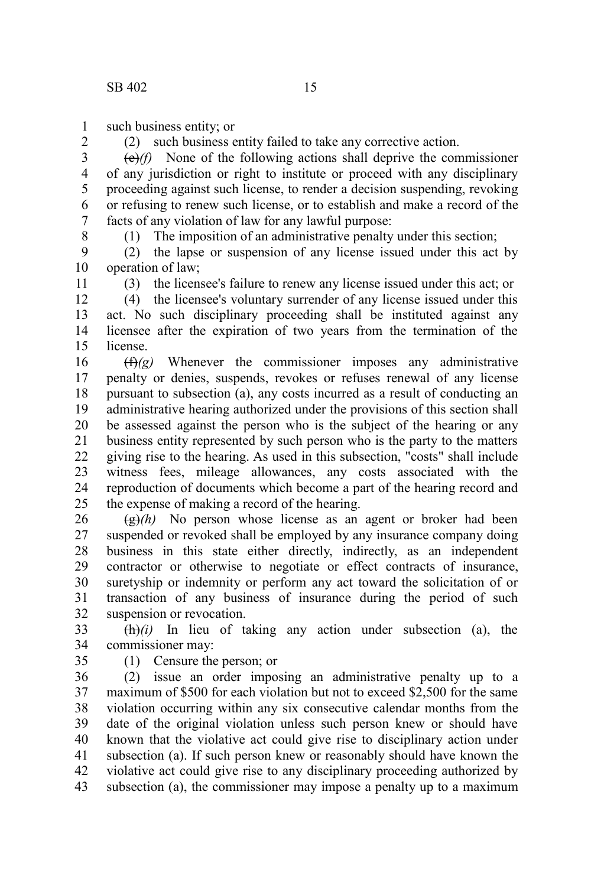such business entity; or 1

(2) such business entity failed to take any corrective action.

(e)*(f)* None of the following actions shall deprive the commissioner of any jurisdiction or right to institute or proceed with any disciplinary proceeding against such license, to render a decision suspending, revoking or refusing to renew such license, or to establish and make a record of the facts of any violation of law for any lawful purpose: 3 4 5 6 7

8

11

2

(1) The imposition of an administrative penalty under this section;

(2) the lapse or suspension of any license issued under this act by operation of law; 9 10

(3) the licensee's failure to renew any license issued under this act; or

(4) the licensee's voluntary surrender of any license issued under this act. No such disciplinary proceeding shall be instituted against any licensee after the expiration of two years from the termination of the license. 12 13 14 15

(f)*(g)* Whenever the commissioner imposes any administrative penalty or denies, suspends, revokes or refuses renewal of any license pursuant to subsection (a), any costs incurred as a result of conducting an administrative hearing authorized under the provisions of this section shall be assessed against the person who is the subject of the hearing or any business entity represented by such person who is the party to the matters giving rise to the hearing. As used in this subsection, "costs" shall include witness fees, mileage allowances, any costs associated with the reproduction of documents which become a part of the hearing record and the expense of making a record of the hearing. 16 17 18 19 20 21 22 23 24 25

 $\left(\frac{g}{g}\right)$  No person whose license as an agent or broker had been suspended or revoked shall be employed by any insurance company doing business in this state either directly, indirectly, as an independent contractor or otherwise to negotiate or effect contracts of insurance, suretyship or indemnity or perform any act toward the solicitation of or transaction of any business of insurance during the period of such suspension or revocation. 26 27 28 29 30 31 32

 $\frac{(\mathbf{h})}{i}$  In lieu of taking any action under subsection (a), the commissioner may: 33 34

35

(1) Censure the person; or

(2) issue an order imposing an administrative penalty up to a maximum of \$500 for each violation but not to exceed \$2,500 for the same violation occurring within any six consecutive calendar months from the date of the original violation unless such person knew or should have known that the violative act could give rise to disciplinary action under subsection (a). If such person knew or reasonably should have known the violative act could give rise to any disciplinary proceeding authorized by subsection (a), the commissioner may impose a penalty up to a maximum 36 37 38 39 40 41 42 43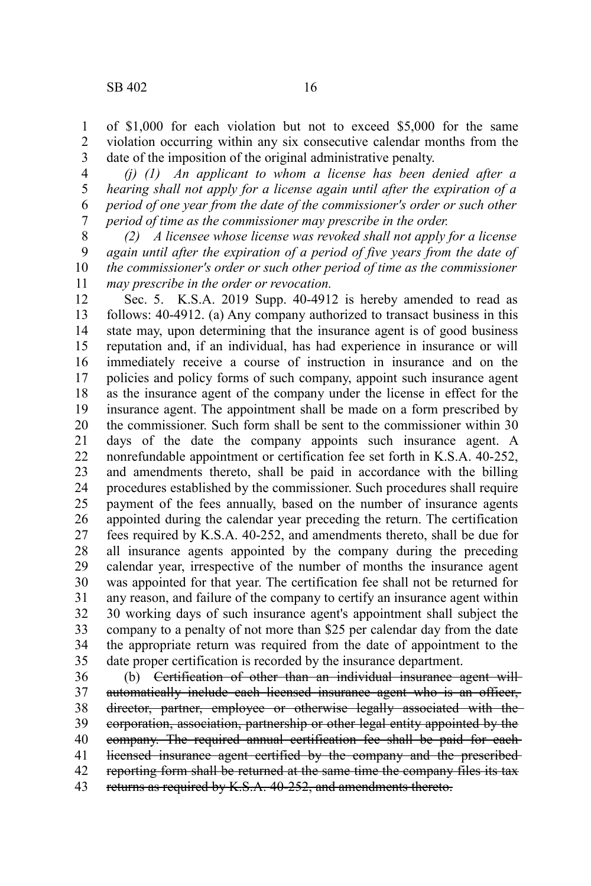of \$1,000 for each violation but not to exceed \$5,000 for the same violation occurring within any six consecutive calendar months from the date of the imposition of the original administrative penalty. 1 2 3

*(j) (1) An applicant to whom a license has been denied after a hearing shall not apply for a license again until after the expiration of a period of one year from the date of the commissioner's order or such other period of time as the commissioner may prescribe in the order.*  4 5 6 7

*(2) A licensee whose license was revoked shall not apply for a license again until after the expiration of a period of five years from the date of the commissioner's order or such other period of time as the commissioner may prescribe in the order or revocation.* 8 9 10 11

Sec. 5. K.S.A. 2019 Supp. 40-4912 is hereby amended to read as follows: 40-4912. (a) Any company authorized to transact business in this state may, upon determining that the insurance agent is of good business reputation and, if an individual, has had experience in insurance or will immediately receive a course of instruction in insurance and on the policies and policy forms of such company, appoint such insurance agent as the insurance agent of the company under the license in effect for the insurance agent. The appointment shall be made on a form prescribed by the commissioner. Such form shall be sent to the commissioner within 30 days of the date the company appoints such insurance agent. A nonrefundable appointment or certification fee set forth in K.S.A. 40-252, and amendments thereto, shall be paid in accordance with the billing procedures established by the commissioner. Such procedures shall require payment of the fees annually, based on the number of insurance agents appointed during the calendar year preceding the return. The certification fees required by K.S.A. 40-252, and amendments thereto, shall be due for all insurance agents appointed by the company during the preceding calendar year, irrespective of the number of months the insurance agent was appointed for that year. The certification fee shall not be returned for any reason, and failure of the company to certify an insurance agent within 30 working days of such insurance agent's appointment shall subject the company to a penalty of not more than \$25 per calendar day from the date the appropriate return was required from the date of appointment to the date proper certification is recorded by the insurance department. 12 13 14 15 16 17 18 19 20 21 22 23 24 25 26 27 28 29 30 31 32 33 34 35

(b) Certification of other than an individual insurance agent will automatically include each licensed insurance agent who is an officer, director, partner, employee or otherwise legally associated with the corporation, association, partnership or other legal entity appointed by the company. The required annual certification fee shall be paid for each licensed insurance agent certified by the company and the prescribed reporting form shall be returned at the same time the company files its tax returns as required by K.S.A. 40-252, and amendments thereto. 36 37 38 39 40 41 42 43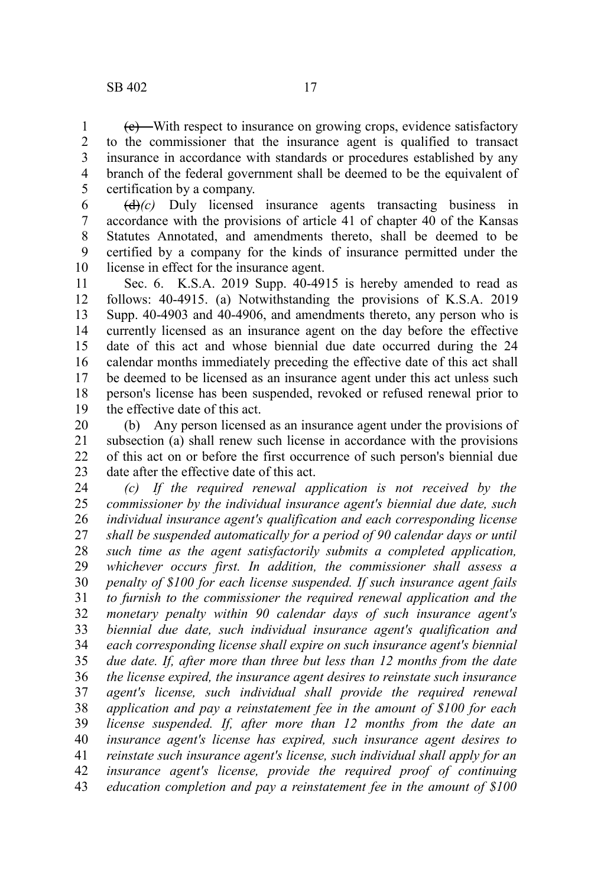(c) With respect to insurance on growing crops, evidence satisfactory to the commissioner that the insurance agent is qualified to transact insurance in accordance with standards or procedures established by any branch of the federal government shall be deemed to be the equivalent of certification by a company. 1 2 3 4 5

(d)*(c)* Duly licensed insurance agents transacting business in accordance with the provisions of article 41 of chapter 40 of the Kansas Statutes Annotated, and amendments thereto, shall be deemed to be certified by a company for the kinds of insurance permitted under the license in effect for the insurance agent. 6 7 8 9 10

Sec. 6. K.S.A. 2019 Supp. 40-4915 is hereby amended to read as follows: 40-4915. (a) Notwithstanding the provisions of K.S.A. 2019 Supp. 40-4903 and 40-4906, and amendments thereto, any person who is currently licensed as an insurance agent on the day before the effective date of this act and whose biennial due date occurred during the 24 calendar months immediately preceding the effective date of this act shall be deemed to be licensed as an insurance agent under this act unless such person's license has been suspended, revoked or refused renewal prior to the effective date of this act. 11 12 13 14 15 16 17 18 19

(b) Any person licensed as an insurance agent under the provisions of subsection (a) shall renew such license in accordance with the provisions of this act on or before the first occurrence of such person's biennial due date after the effective date of this act. 20 21 22 23

*(c) If the required renewal application is not received by the commissioner by the individual insurance agent's biennial due date, such individual insurance agent's qualification and each corresponding license shall be suspended automatically for a period of 90 calendar days or until such time as the agent satisfactorily submits a completed application, whichever occurs first. In addition, the commissioner shall assess a penalty of \$100 for each license suspended. If such insurance agent fails to furnish to the commissioner the required renewal application and the monetary penalty within 90 calendar days of such insurance agent's biennial due date, such individual insurance agent's qualification and each corresponding license shall expire on such insurance agent's biennial due date. If, after more than three but less than 12 months from the date the license expired, the insurance agent desires to reinstate such insurance agent's license, such individual shall provide the required renewal application and pay a reinstatement fee in the amount of \$100 for each license suspended. If, after more than 12 months from the date an insurance agent's license has expired, such insurance agent desires to reinstate such insurance agent's license, such individual shall apply for an insurance agent's license, provide the required proof of continuing education completion and pay a reinstatement fee in the amount of \$100* 24 25 26 27 28 29 30 31 32 33 34 35 36 37 38 39 40 41 42 43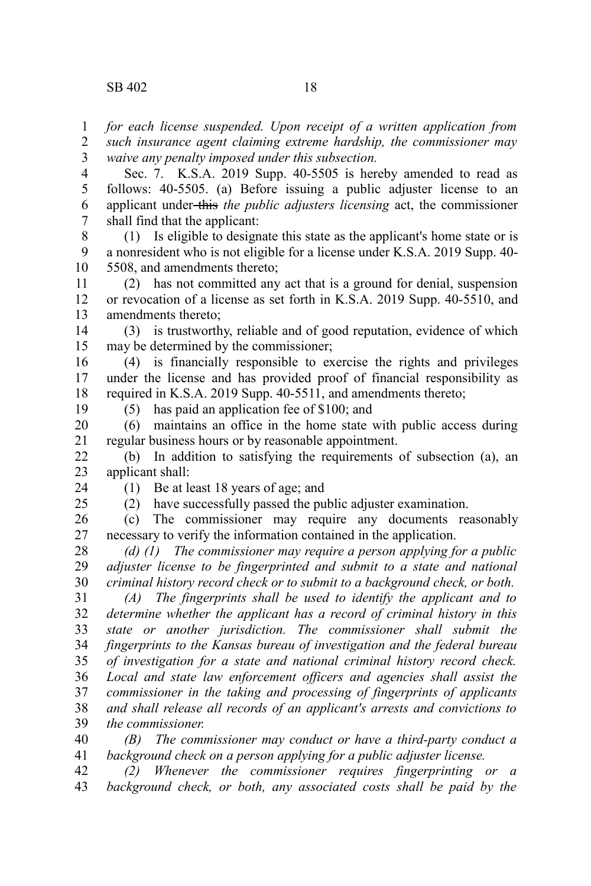*for each license suspended. Upon receipt of a written application from* 1

*such insurance agent claiming extreme hardship, the commissioner may waive any penalty imposed under this subsection.* 2 3

Sec. 7. K.S.A. 2019 Supp. 40-5505 is hereby amended to read as follows: 40-5505. (a) Before issuing a public adjuster license to an applicant under this *the public adjusters licensing* act, the commissioner shall find that the applicant: 4 5 6 7

(1) Is eligible to designate this state as the applicant's home state or is a nonresident who is not eligible for a license under K.S.A. 2019 Supp. 40- 5508, and amendments thereto; 8 9 10

(2) has not committed any act that is a ground for denial, suspension or revocation of a license as set forth in K.S.A. 2019 Supp. 40-5510, and amendments thereto; 11 12 13

(3) is trustworthy, reliable and of good reputation, evidence of which may be determined by the commissioner; 14 15

(4) is financially responsible to exercise the rights and privileges under the license and has provided proof of financial responsibility as required in K.S.A. 2019 Supp. 40-5511, and amendments thereto; 16 17 18

19

(5) has paid an application fee of \$100; and

(6) maintains an office in the home state with public access during regular business hours or by reasonable appointment. 20 21

(b) In addition to satisfying the requirements of subsection (a), an applicant shall: 22 23

24 25 (1) Be at least 18 years of age; and

(2) have successfully passed the public adjuster examination.

(c) The commissioner may require any documents reasonably necessary to verify the information contained in the application. 26 27

*(d) (1) The commissioner may require a person applying for a public adjuster license to be fingerprinted and submit to a state and national criminal history record check or to submit to a background check, or both.* 28 29 30

*(A) The fingerprints shall be used to identify the applicant and to determine whether the applicant has a record of criminal history in this state or another jurisdiction. The commissioner shall submit the fingerprints to the Kansas bureau of investigation and the federal bureau of investigation for a state and national criminal history record check. Local and state law enforcement officers and agencies shall assist the commissioner in the taking and processing of fingerprints of applicants and shall release all records of an applicant's arrests and convictions to the commissioner.* 31 32 33 34 35 36 37 38 39

*(B) The commissioner may conduct or have a third-party conduct a background check on a person applying for a public adjuster license.* 40 41

*(2) Whenever the commissioner requires fingerprinting or a background check, or both, any associated costs shall be paid by the* 42 43